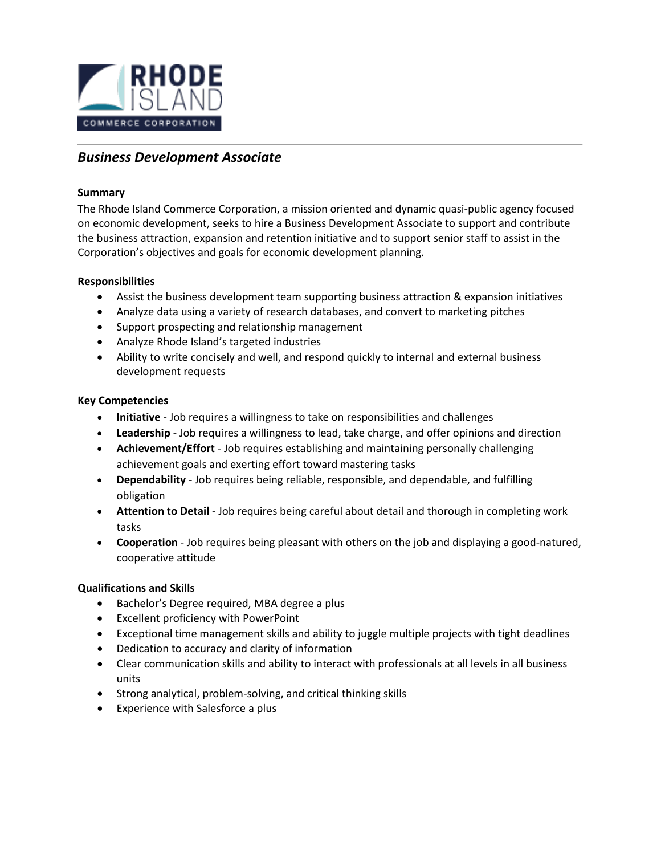

# *Business Development Associate*

### **Summary**

The Rhode Island Commerce Corporation, a mission oriented and dynamic quasi-public agency focused on economic development, seeks to hire a Business Development Associate to support and contribute the business attraction, expansion and retention initiative and to support senior staff to assist in the Corporation's objectives and goals for economic development planning.

#### **Responsibilities**

- Assist the business development team supporting business attraction & expansion initiatives
- Analyze data using a variety of research databases, and convert to marketing pitches
- Support prospecting and relationship management
- Analyze Rhode Island's targeted industries
- Ability to write concisely and well, and respond quickly to internal and external business development requests

## **Key Competencies**

- **Initiative**  Job requires a willingness to take on responsibilities and challenges
- **Leadership** Job requires a willingness to lead, take charge, and offer opinions and direction
- **Achievement/Effort** Job requires establishing and maintaining personally challenging achievement goals and exerting effort toward mastering tasks
- **Dependability** Job requires being reliable, responsible, and dependable, and fulfilling obligation
- **Attention to Detail** Job requires being careful about detail and thorough in completing work tasks
- **Cooperation**  Job requires being pleasant with others on the job and displaying a good-natured, cooperative attitude

## **Qualifications and Skills**

- Bachelor's Degree required, MBA degree a plus
- Excellent proficiency with PowerPoint
- Exceptional time management skills and ability to juggle multiple projects with tight deadlines
- Dedication to accuracy and clarity of information
- Clear communication skills and ability to interact with professionals at all levels in all business units
- Strong analytical, problem-solving, and critical thinking skills
- Experience with Salesforce a plus